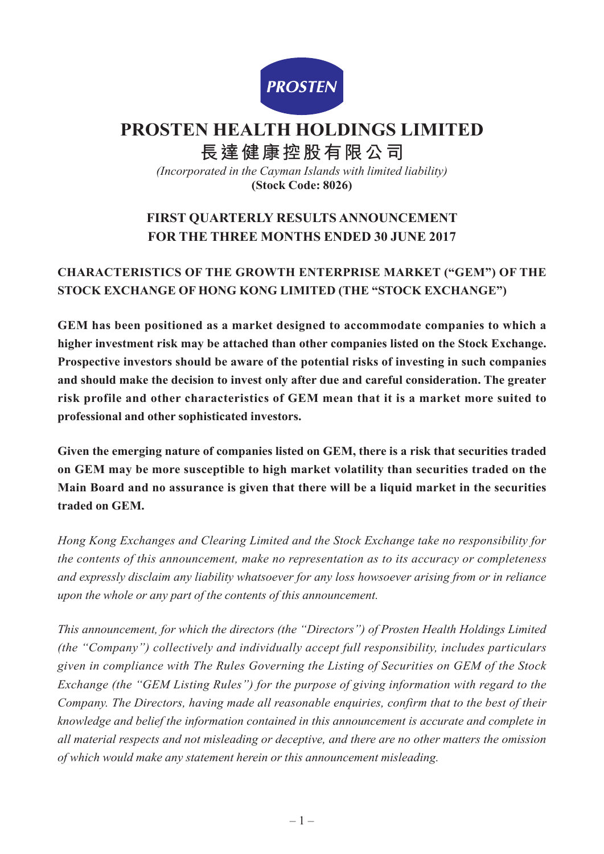

# **PROSTEN HEALTH HOLDINGS LIMITED**

**長達健康控股有限公司**

*(Incorporated in the Cayman Islands with limited liability)* **(Stock Code: 8026)**

# **FIRST QUARTERLY RESULTS ANNOUNCEMENT FOR THE THREE MONTHS ENDED 30 JUNE 2017**

## **CHARACTERISTICS OF THE GROWTH ENTERPRISE MARKET ("GEM") OF THE STOCK EXCHANGE OF HONG KONG LIMITED (THE "STOCK EXCHANGE")**

**GEM has been positioned as a market designed to accommodate companies to which a higher investment risk may be attached than other companies listed on the Stock Exchange. Prospective investors should be aware of the potential risks of investing in such companies and should make the decision to invest only after due and careful consideration. The greater risk profile and other characteristics of GEM mean that it is a market more suited to professional and other sophisticated investors.**

**Given the emerging nature of companies listed on GEM, there is a risk that securities traded on GEM may be more susceptible to high market volatility than securities traded on the Main Board and no assurance is given that there will be a liquid market in the securities traded on GEM.**

*Hong Kong Exchanges and Clearing Limited and the Stock Exchange take no responsibility for the contents of this announcement, make no representation as to its accuracy or completeness and expressly disclaim any liability whatsoever for any loss howsoever arising from or in reliance upon the whole or any part of the contents of this announcement.*

*This announcement, for which the directors (the "Directors") of Prosten Health Holdings Limited (the "Company") collectively and individually accept full responsibility, includes particulars given in compliance with The Rules Governing the Listing of Securities on GEM of the Stock Exchange (the "GEM Listing Rules") for the purpose of giving information with regard to the Company. The Directors, having made all reasonable enquiries, confirm that to the best of their knowledge and belief the information contained in this announcement is accurate and complete in all material respects and not misleading or deceptive, and there are no other matters the omission of which would make any statement herein or this announcement misleading.*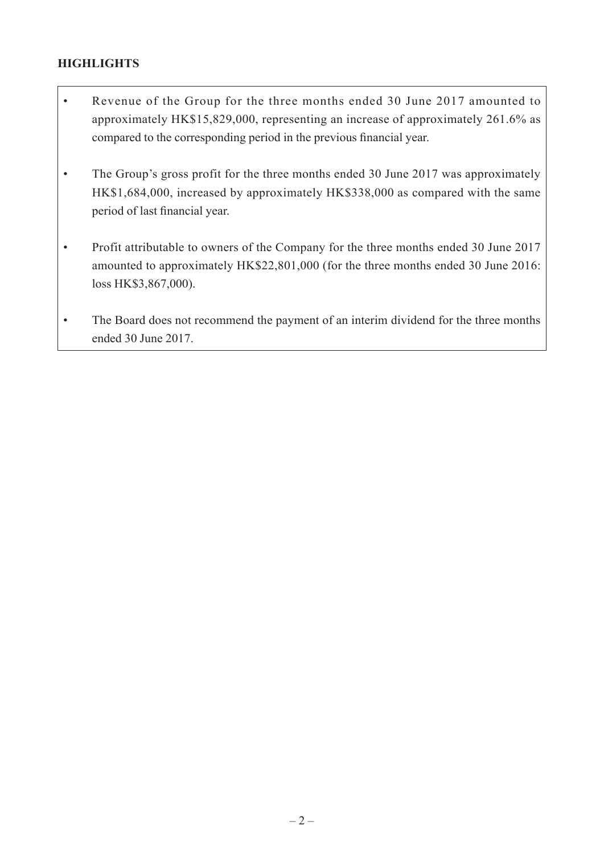### **HIGHLIGHTS**

- • Revenue of the Group for the three months ended 30 June 2017 amounted to approximately HK\$15,829,000, representing an increase of approximately 261.6% as compared to the corresponding period in the previous financial year.
- The Group's gross profit for the three months ended 30 June 2017 was approximately HK\$1,684,000, increased by approximately HK\$338,000 as compared with the same period of last financial year.
- Profit attributable to owners of the Company for the three months ended 30 June 2017 amounted to approximately HK\$22,801,000 (for the three months ended 30 June 2016: loss HK\$3,867,000).
- The Board does not recommend the payment of an interim dividend for the three months ended 30 June 2017.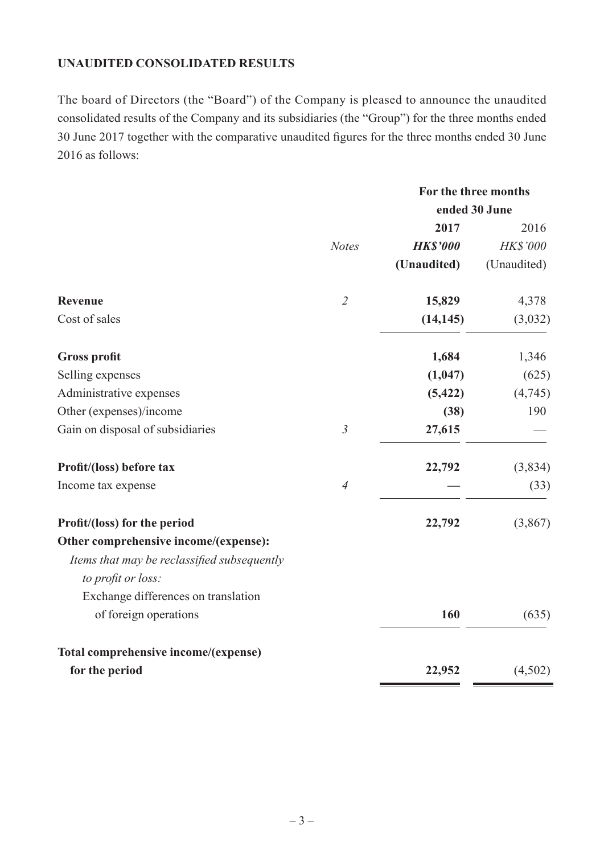#### **UNAUDITED CONSOLIDATED RESULTS**

The board of Directors (the "Board") of the Company is pleased to announce the unaudited consolidated results of the Company and its subsidiaries (the "Group") for the three months ended 30 June 2017 together with the comparative unaudited figures for the three months ended 30 June 2016 as follows:

|                                             |                | For the three months |               |  |
|---------------------------------------------|----------------|----------------------|---------------|--|
|                                             |                |                      | ended 30 June |  |
|                                             |                | 2017                 | 2016          |  |
|                                             | <b>Notes</b>   | <b>HK\$'000</b>      | HK\$'000      |  |
|                                             |                | (Unaudited)          | (Unaudited)   |  |
| <b>Revenue</b>                              | $\overline{2}$ | 15,829               | 4,378         |  |
| Cost of sales                               |                | (14, 145)            | (3,032)       |  |
| <b>Gross profit</b>                         |                | 1,684                | 1,346         |  |
| Selling expenses                            |                | (1,047)              | (625)         |  |
| Administrative expenses                     |                | (5, 422)             | (4,745)       |  |
| Other (expenses)/income                     |                | (38)                 | 190           |  |
| Gain on disposal of subsidiaries            | $\mathfrak{Z}$ | 27,615               |               |  |
| Profit/(loss) before tax                    |                | 22,792               | (3,834)       |  |
| Income tax expense                          | $\overline{4}$ |                      | (33)          |  |
| Profit/(loss) for the period                |                | 22,792               | (3,867)       |  |
| Other comprehensive income/(expense):       |                |                      |               |  |
| Items that may be reclassified subsequently |                |                      |               |  |
| to profit or loss:                          |                |                      |               |  |
| Exchange differences on translation         |                |                      |               |  |
| of foreign operations                       |                | 160                  | (635)         |  |
| Total comprehensive income/(expense)        |                |                      |               |  |
| for the period                              |                | 22,952               | (4,502)       |  |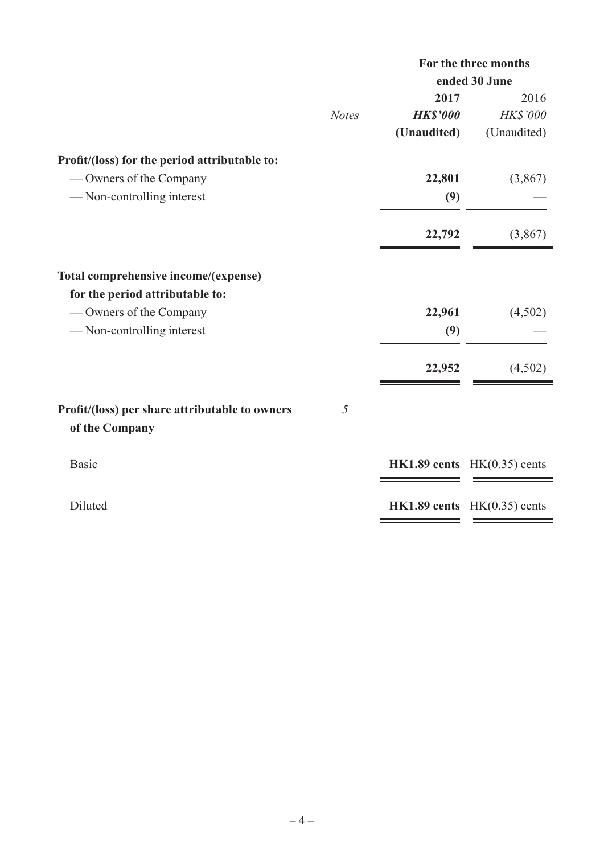|                                                                  |              | For the three months |                               |  |
|------------------------------------------------------------------|--------------|----------------------|-------------------------------|--|
|                                                                  |              | ended 30 June        |                               |  |
|                                                                  |              | 2017                 | 2016                          |  |
|                                                                  | <b>Notes</b> | <b>HK\$'000</b>      | HK\$'000                      |  |
|                                                                  |              | (Unaudited)          | (Unaudited)                   |  |
| Profit/(loss) for the period attributable to:                    |              |                      |                               |  |
| — Owners of the Company                                          |              | 22,801               | (3,867)                       |  |
| — Non-controlling interest                                       |              | (9)                  |                               |  |
|                                                                  |              | 22,792               | (3,867)                       |  |
| Total comprehensive income/(expense)                             |              |                      |                               |  |
| for the period attributable to:                                  |              |                      |                               |  |
| — Owners of the Company                                          |              | 22,961               | (4,502)                       |  |
| — Non-controlling interest                                       |              | (9)                  |                               |  |
|                                                                  |              | 22,952               | (4,502)                       |  |
| Profit/(loss) per share attributable to owners<br>of the Company | 5            |                      |                               |  |
| <b>Basic</b>                                                     |              |                      | HK1.89 cents $HK(0.35)$ cents |  |
| Diluted                                                          |              |                      | HK1.89 cents $HK(0.35)$ cents |  |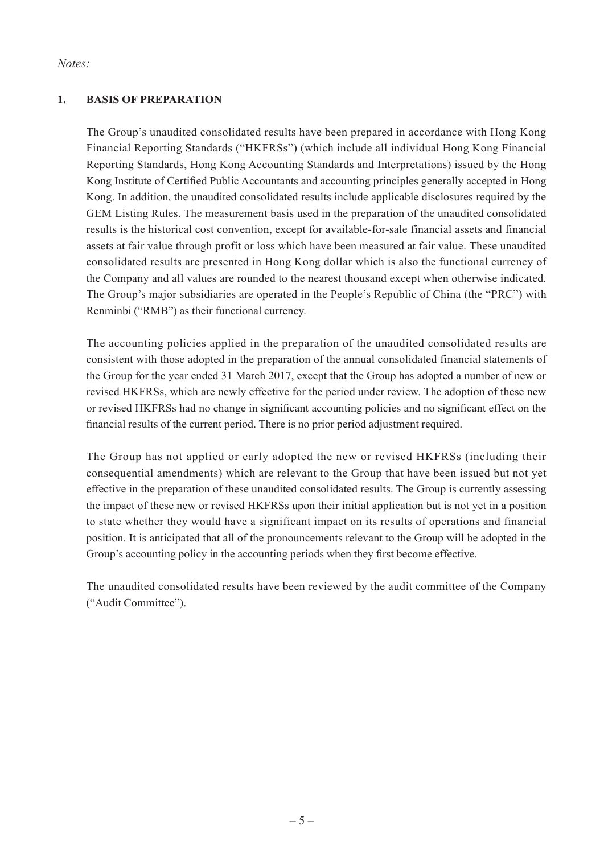#### *Notes:*

#### **1. Basis of Preparation**

The Group's unaudited consolidated results have been prepared in accordance with Hong Kong Financial Reporting Standards ("HKFRSs") (which include all individual Hong Kong Financial Reporting Standards, Hong Kong Accounting Standards and Interpretations) issued by the Hong Kong Institute of Certified Public Accountants and accounting principles generally accepted in Hong Kong. In addition, the unaudited consolidated results include applicable disclosures required by the GEM Listing Rules. The measurement basis used in the preparation of the unaudited consolidated results is the historical cost convention, except for available-for-sale financial assets and financial assets at fair value through profit or loss which have been measured at fair value. These unaudited consolidated results are presented in Hong Kong dollar which is also the functional currency of the Company and all values are rounded to the nearest thousand except when otherwise indicated. The Group's major subsidiaries are operated in the People's Republic of China (the "PRC") with Renminbi ("RMB") as their functional currency.

The accounting policies applied in the preparation of the unaudited consolidated results are consistent with those adopted in the preparation of the annual consolidated financial statements of the Group for the year ended 31 March 2017, except that the Group has adopted a number of new or revised HKFRSs, which are newly effective for the period under review. The adoption of these new or revised HKFRSs had no change in significant accounting policies and no significant effect on the financial results of the current period. There is no prior period adjustment required.

The Group has not applied or early adopted the new or revised HKFRSs (including their consequential amendments) which are relevant to the Group that have been issued but not yet effective in the preparation of these unaudited consolidated results. The Group is currently assessing the impact of these new or revised HKFRSs upon their initial application but is not yet in a position to state whether they would have a significant impact on its results of operations and financial position. It is anticipated that all of the pronouncements relevant to the Group will be adopted in the Group's accounting policy in the accounting periods when they first become effective.

The unaudited consolidated results have been reviewed by the audit committee of the Company ("Audit Committee").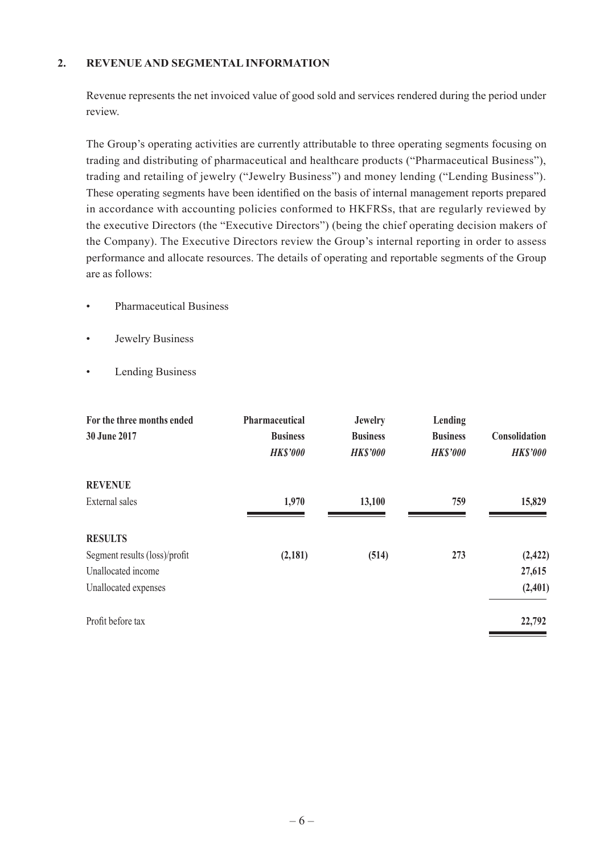#### **2. REvENUE AND SEGMENTAL INFORMATION**

Revenue represents the net invoiced value of good sold and services rendered during the period under review.

The Group's operating activities are currently attributable to three operating segments focusing on trading and distributing of pharmaceutical and healthcare products ("Pharmaceutical Business"), trading and retailing of jewelry ("Jewelry Business") and money lending ("Lending Business"). These operating segments have been identified on the basis of internal management reports prepared in accordance with accounting policies conformed to HKFRSs, that are regularly reviewed by the executive Directors (the "Executive Directors") (being the chief operating decision makers of the Company). The Executive Directors review the Group's internal reporting in order to assess performance and allocate resources. The details of operating and reportable segments of the Group are as follows:

- Pharmaceutical Business
- Jewelry Business
- Lending Business

| For the three months ended<br>30 June 2017 | Pharmaceutical<br><b>Business</b><br><b>HK\$'000</b> | <b>Jewelry</b><br><b>Business</b><br><b>HK\$'000</b> | Lending<br><b>Business</b><br><b>HK\$'000</b> | Consolidation<br><b>HK\$'000</b> |
|--------------------------------------------|------------------------------------------------------|------------------------------------------------------|-----------------------------------------------|----------------------------------|
| <b>REVENUE</b>                             |                                                      |                                                      |                                               |                                  |
| External sales                             | 1,970                                                | 13,100                                               | 759                                           | 15,829                           |
| <b>RESULTS</b>                             |                                                      |                                                      |                                               |                                  |
| Segment results (loss)/profit              | (2,181)                                              | (514)                                                | 273                                           | (2, 422)                         |
| Unallocated income                         |                                                      |                                                      |                                               | 27,615                           |
| Unallocated expenses                       |                                                      |                                                      |                                               | (2,401)                          |
| Profit before tax                          |                                                      |                                                      |                                               | 22,792                           |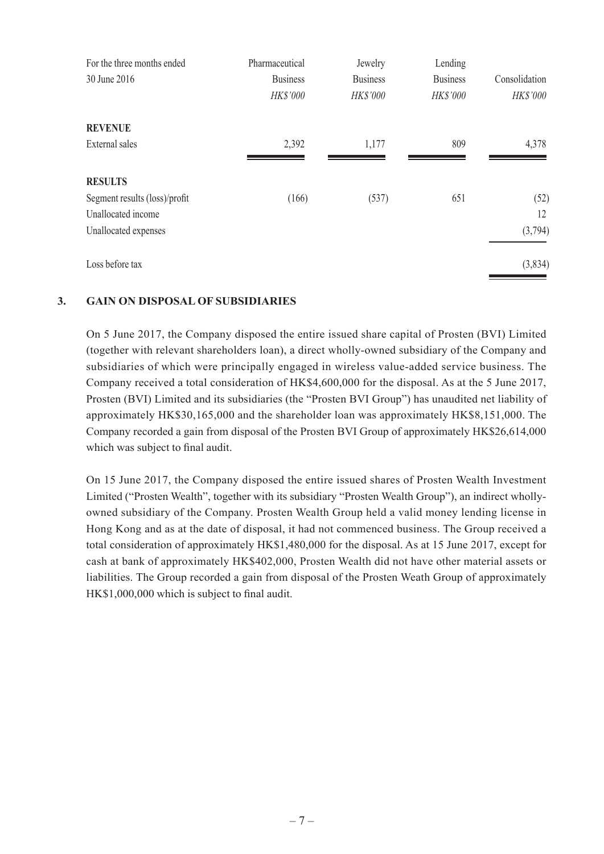| For the three months ended<br>30 June 2016 | Pharmaceutical<br><b>Business</b><br>HK\$'000 | Jewelry<br><b>Business</b><br>HK\$'000 | Lending<br><b>Business</b><br>HK\$'000 | Consolidation<br>HK\$'000 |
|--------------------------------------------|-----------------------------------------------|----------------------------------------|----------------------------------------|---------------------------|
| <b>REVENUE</b>                             |                                               |                                        |                                        |                           |
| External sales                             | 2,392                                         | 1,177                                  | 809                                    | 4,378                     |
| <b>RESULTS</b>                             |                                               |                                        |                                        |                           |
| Segment results (loss)/profit              | (166)                                         | (537)                                  | 651                                    | (52)                      |
| Unallocated income                         |                                               |                                        |                                        | 12                        |
| Unallocated expenses                       |                                               |                                        |                                        | (3,794)                   |
| Loss before tax                            |                                               |                                        |                                        | (3,834)                   |

#### **3. Gain on Disposal of subsidiaries**

On 5 June 2017, the Company disposed the entire issued share capital of Prosten (BVI) Limited (together with relevant shareholders loan), a direct wholly-owned subsidiary of the Company and subsidiaries of which were principally engaged in wireless value-added service business. The Company received a total consideration of HK\$4,600,000 for the disposal. As at the 5 June 2017, Prosten (BVI) Limited and its subsidiaries (the "Prosten BVI Group") has unaudited net liability of approximately HK\$30,165,000 and the shareholder loan was approximately HK\$8,151,000. The Company recorded a gain from disposal of the Prosten BVI Group of approximately HK\$26,614,000 which was subject to final audit.

On 15 June 2017, the Company disposed the entire issued shares of Prosten Wealth Investment Limited ("Prosten Wealth", together with its subsidiary "Prosten Wealth Group"), an indirect whollyowned subsidiary of the Company. Prosten Wealth Group held a valid money lending license in Hong Kong and as at the date of disposal, it had not commenced business. The Group received a total consideration of approximately HK\$1,480,000 for the disposal. As at 15 June 2017, except for cash at bank of approximately HK\$402,000, Prosten Wealth did not have other material assets or liabilities. The Group recorded a gain from disposal of the Prosten Weath Group of approximately HK\$1,000,000 which is subject to final audit.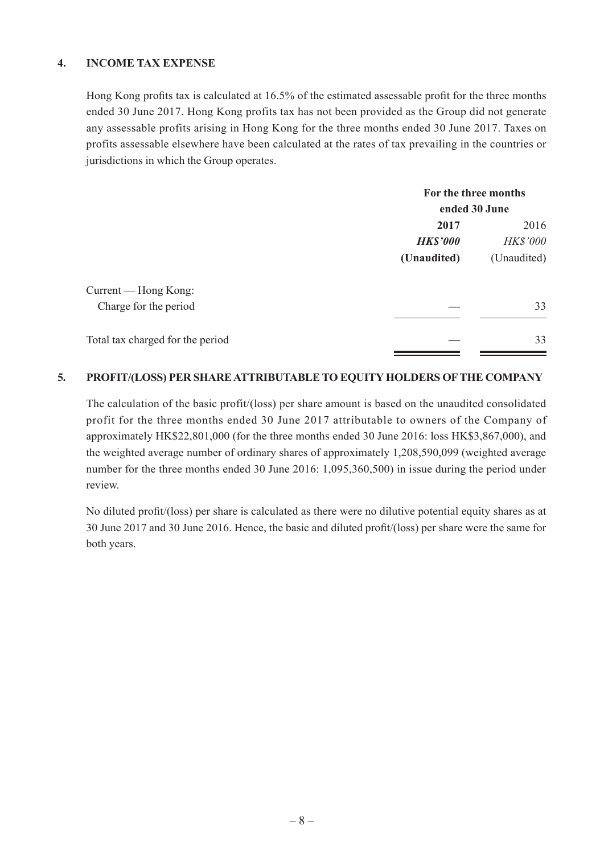#### **4. Income Tax Expense**

Hong Kong profits tax is calculated at 16.5% of the estimated assessable profit for the three months ended 30 June 2017. Hong Kong profits tax has not been provided as the Group did not generate any assessable profits arising in Hong Kong for the three months ended 30 June 2017. Taxes on profits assessable elsewhere have been calculated at the rates of tax prevailing in the countries or jurisdictions in which the Group operates.

|                                  | For the three months |               |  |  |
|----------------------------------|----------------------|---------------|--|--|
|                                  |                      | ended 30 June |  |  |
|                                  | 2017                 | 2016          |  |  |
|                                  | <b>HK\$'000</b>      | HK\$'000      |  |  |
|                                  | (Unaudited)          | (Unaudited)   |  |  |
| Current — Hong Kong:             |                      |               |  |  |
| Charge for the period            |                      | 33            |  |  |
| Total tax charged for the period |                      | 33            |  |  |

#### **5. Profit/(Loss) Per Share Attributable to Equity HOLDERS OF THE COMPANy**

The calculation of the basic profit/(loss) per share amount is based on the unaudited consolidated profit for the three months ended 30 June 2017 attributable to owners of the Company of approximately HK\$22,801,000 (for the three months ended 30 June 2016: loss HK\$3,867,000), and the weighted average number of ordinary shares of approximately 1,208,590,099 (weighted average number for the three months ended 30 June 2016: 1,095,360,500) in issue during the period under review.

No diluted profit/(loss) per share is calculated as there were no dilutive potential equity shares as at 30 June 2017 and 30 June 2016. Hence, the basic and diluted profit/(loss) per share were the same for both years.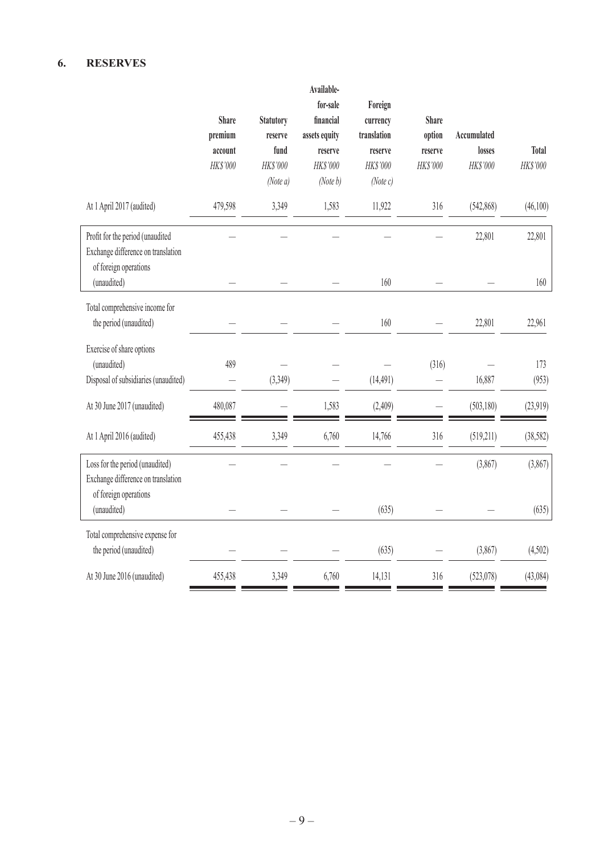### **6. Reserves**

|                                                                       |              |                  | Available-<br>for-sale | Foreign     |              |             |           |
|-----------------------------------------------------------------------|--------------|------------------|------------------------|-------------|--------------|-------------|-----------|
|                                                                       | <b>Share</b> | <b>Statutory</b> | financial              | currency    | <b>Share</b> |             |           |
|                                                                       | premium      | reserve          | assets equity          | translation | option       | Accumulated |           |
|                                                                       | account      | fund             | reserve                | reserve     | reserve      | losses      | Total     |
|                                                                       | HK\$'000     | HK\$'000         | HK\$'000               | HK\$'000    | HK\$'000     | HK\$'000    | HK\$'000  |
|                                                                       |              | (Note a)         | (Note b)               | (Note c)    |              |             |           |
| At 1 April 2017 (audited)                                             | 479,598      | 3,349            | 1,583                  | 11,922      | 316          | (542, 868)  | (46,100)  |
| Profit for the period (unaudited                                      |              |                  |                        |             |              | 22,801      | 22,801    |
| Exchange difference on translation                                    |              |                  |                        |             |              |             |           |
| of foreign operations                                                 |              |                  |                        |             |              |             |           |
| (unaudited)                                                           |              |                  |                        | 160         |              |             | 160       |
| Total comprehensive income for                                        |              |                  |                        |             |              |             |           |
| the period (unaudited)                                                |              |                  |                        | 160         |              | 22,801      | 22,961    |
| Exercise of share options                                             |              |                  |                        |             |              |             |           |
| (unaudited)                                                           | 489          |                  |                        |             | (316)        |             | 173       |
| Disposal of subsidiaries (unaudited)                                  |              | (3,349)          |                        | (14, 491)   |              | 16,887      | (953)     |
| At 30 June 2017 (unaudited)                                           | 480,087      |                  | 1,583                  | (2,409)     |              | (503, 180)  | (23,919)  |
| At 1 April 2016 (audited)                                             | 455,438      | 3,349            | 6,760                  | 14,766      | 316          | (519,211)   | (38, 582) |
|                                                                       |              |                  |                        |             |              |             |           |
| Loss for the period (unaudited)<br>Exchange difference on translation |              |                  |                        |             |              | (3,867)     | (3,867)   |
| of foreign operations                                                 |              |                  |                        |             |              |             |           |
| (unaudited)                                                           |              |                  |                        | (635)       |              |             | (635)     |
| Total comprehensive expense for                                       |              |                  |                        |             |              |             |           |
| the period (unaudited)                                                |              |                  |                        | (635)       |              | (3,867)     | (4,502)   |
| At 30 June 2016 (unaudited)                                           | 455,438      | 3,349            | 6,760                  | 14,131      | 316          | (523,078)   | (43,084)  |
|                                                                       |              |                  |                        |             |              |             |           |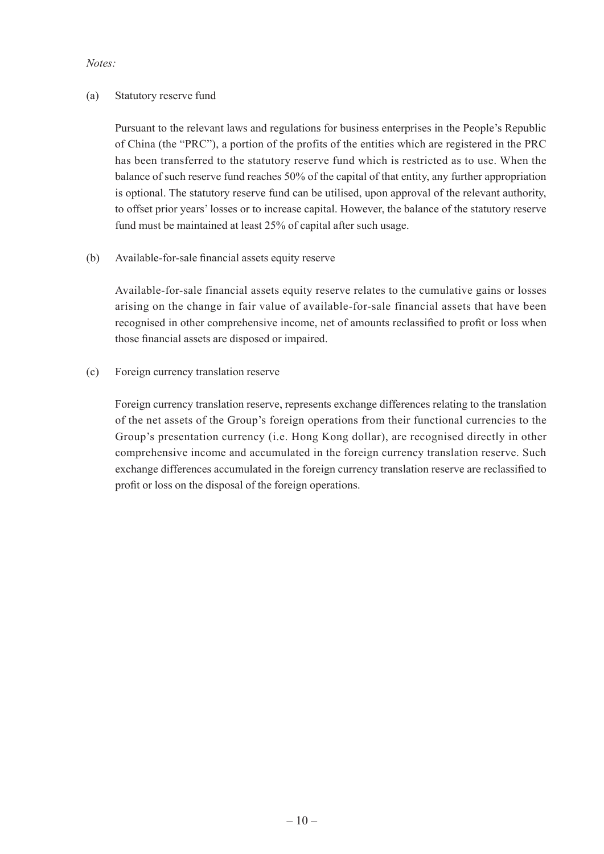#### *Notes:*

#### (a) Statutory reserve fund

Pursuant to the relevant laws and regulations for business enterprises in the People's Republic of China (the "PRC"), a portion of the profits of the entities which are registered in the PRC has been transferred to the statutory reserve fund which is restricted as to use. When the balance of such reserve fund reaches 50% of the capital of that entity, any further appropriation is optional. The statutory reserve fund can be utilised, upon approval of the relevant authority, to offset prior years'losses or to increase capital. However, the balance of the statutory reserve fund must be maintained at least 25% of capital after such usage.

(b) Available-for-sale financial assets equity reserve

Available-for-sale financial assets equity reserve relates to the cumulative gains or losses arising on the change in fair value of available-for-sale financial assets that have been recognised in other comprehensive income, net of amounts reclassified to profit or loss when those financial assets are disposed or impaired.

(c) Foreign currency translation reserve

Foreign currency translation reserve, represents exchange differences relating to the translation of the net assets of the Group's foreign operations from their functional currencies to the Group's presentation currency (i.e. Hong Kong dollar), are recognised directly in other comprehensive income and accumulated in the foreign currency translation reserve. Such exchange differences accumulated in the foreign currency translation reserve are reclassified to profit or loss on the disposal of the foreign operations.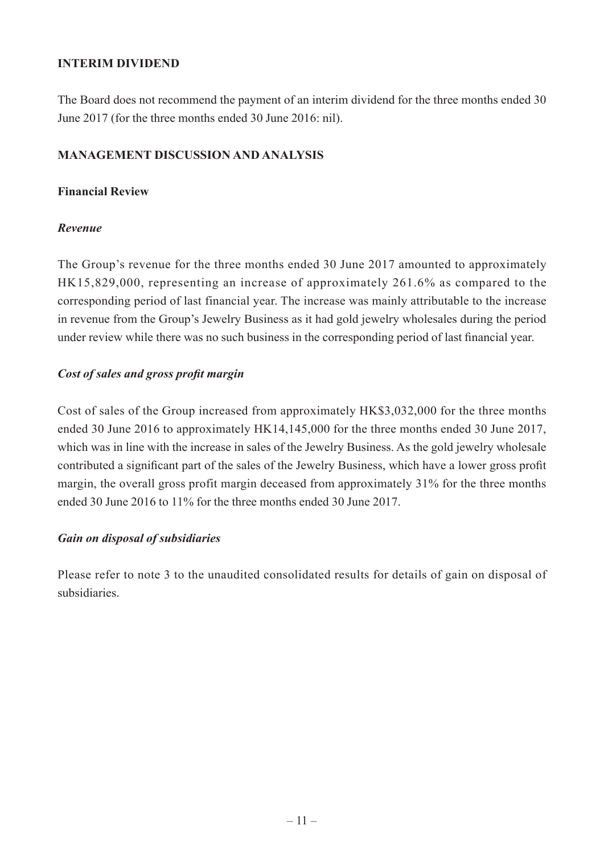#### **INTERIM DIvIDEND**

The Board does not recommend the payment of an interim dividend for the three months ended 30 June 2017 (for the three months ended 30 June 2016: nil).

#### **MANAGEMENT DISCUSSION AND ANALySIS**

#### **Financial Review**

#### *Revenue*

The Group's revenue for the three months ended 30 June 2017 amounted to approximately HK15,829,000, representing an increase of approximately 261.6% as compared to the corresponding period of last financial year. The increase was mainly attributable to the increase in revenue from the Group's Jewelry Business as it had gold jewelry wholesales during the period under review while there was no such business in the corresponding period of last financial year.

#### *Cost of sales and gross profit margin*

Cost of sales of the Group increased from approximately HK\$3,032,000 for the three months ended 30 June 2016 to approximately HK14,145,000 for the three months ended 30 June 2017, which was in line with the increase in sales of the Jewelry Business. As the gold jewelry wholesale contributed a significant part of the sales of the Jewelry Business, which have a lower gross profit margin, the overall gross profit margin deceased from approximately 31% for the three months ended 30 June 2016 to 11% for the three months ended 30 June 2017.

#### *Gain on disposal of subsidiaries*

Please refer to note 3 to the unaudited consolidated results for details of gain on disposal of subsidiaries.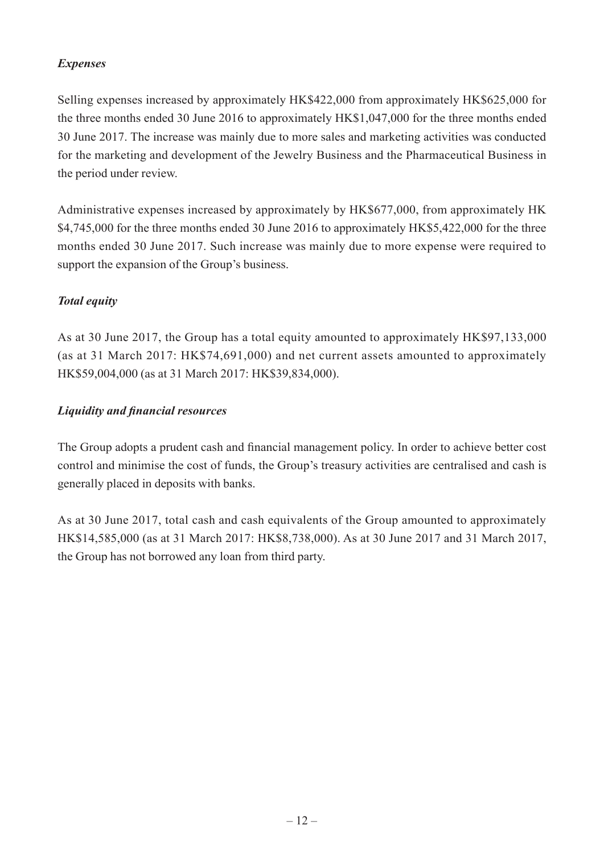### *Expenses*

Selling expenses increased by approximately HK\$422,000 from approximately HK\$625,000 for the three months ended 30 June 2016 to approximately HK\$1,047,000 for the three months ended 30 June 2017. The increase was mainly due to more sales and marketing activities was conducted for the marketing and development of the Jewelry Business and the Pharmaceutical Business in the period under review.

Administrative expenses increased by approximately by HK\$677,000, from approximately HK \$4,745,000 for the three months ended 30 June 2016 to approximately HK\$5,422,000 for the three months ended 30 June 2017. Such increase was mainly due to more expense were required to support the expansion of the Group's business.

### *Total equity*

As at 30 June 2017, the Group has a total equity amounted to approximately HK\$97,133,000 (as at 31 March 2017: HK\$74,691,000) and net current assets amounted to approximately HK\$59,004,000 (as at 31 March 2017: HK\$39,834,000).

### *Liquidity and financial resources*

The Group adopts a prudent cash and financial management policy. In order to achieve better cost control and minimise the cost of funds, the Group's treasury activities are centralised and cash is generally placed in deposits with banks.

As at 30 June 2017, total cash and cash equivalents of the Group amounted to approximately HK\$14,585,000 (as at 31 March 2017: HK\$8,738,000). As at 30 June 2017 and 31 March 2017, the Group has not borrowed any loan from third party.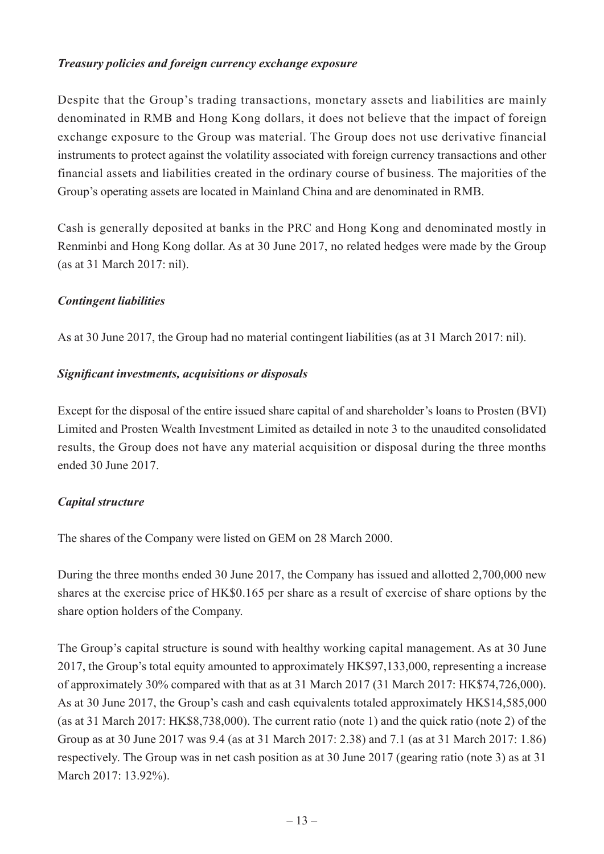### *Treasury policies and foreign currency exchange exposure*

Despite that the Group's trading transactions, monetary assets and liabilities are mainly denominated in RMB and Hong Kong dollars, it does not believe that the impact of foreign exchange exposure to the Group was material. The Group does not use derivative financial instruments to protect against the volatility associated with foreign currency transactions and other financial assets and liabilities created in the ordinary course of business. The majorities of the Group's operating assets are located in Mainland China and are denominated in RMB.

Cash is generally deposited at banks in the PRC and Hong Kong and denominated mostly in Renminbi and Hong Kong dollar. As at 30 June 2017, no related hedges were made by the Group (as at 31 March 2017: nil).

### *Contingent liabilities*

As at 30 June 2017, the Group had no material contingent liabilities (as at 31 March 2017: nil).

### *Significant investments, acquisitions or disposals*

Except for the disposal of the entire issued share capital of and shareholder's loans to Prosten (BVI) Limited and Prosten Wealth Investment Limited as detailed in note 3 to the unaudited consolidated results, the Group does not have any material acquisition or disposal during the three months ended 30 June 2017.

### *Capital structure*

The shares of the Company were listed on GEM on 28 March 2000.

During the three months ended 30 June 2017, the Company has issued and allotted 2,700,000 new shares at the exercise price of HK\$0.165 per share as a result of exercise of share options by the share option holders of the Company.

The Group's capital structure is sound with healthy working capital management. As at 30 June 2017, the Group's total equity amounted to approximately HK\$97,133,000, representing a increase of approximately 30% compared with that as at 31 March 2017 (31 March 2017: HK\$74,726,000). As at 30 June 2017, the Group's cash and cash equivalents totaled approximately HK\$14,585,000 (as at 31 March 2017: HK\$8,738,000). The current ratio (note 1) and the quick ratio (note 2) of the Group as at 30 June 2017 was 9.4 (as at 31 March 2017: 2.38) and 7.1 (as at 31 March 2017: 1.86) respectively. The Group was in net cash position as at 30 June 2017 (gearing ratio (note 3) as at 31 March 2017: 13.92%).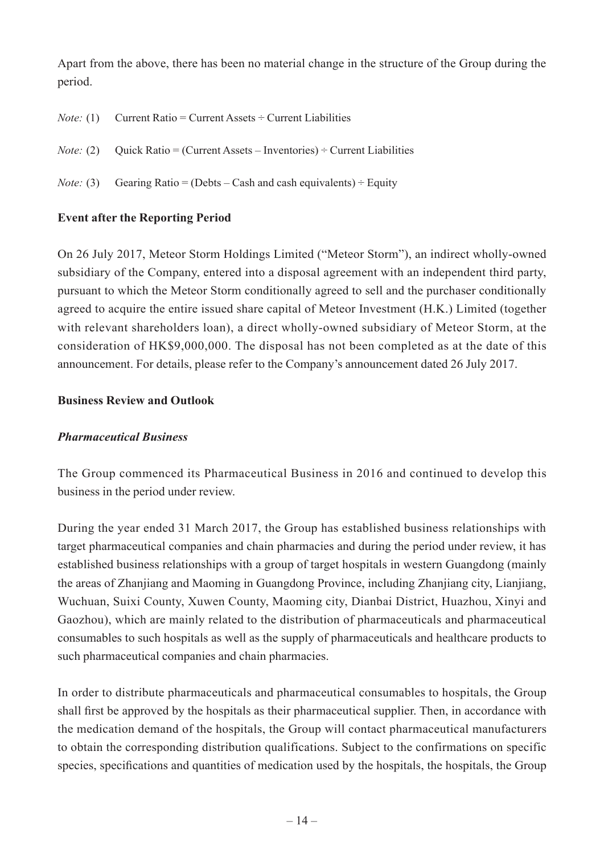Apart from the above, there has been no material change in the structure of the Group during the period.

| <i>Note:</i> $(1)$ | Current Ratio = Current Assets $\div$ Current Liabilities |
|--------------------|-----------------------------------------------------------|
|                    |                                                           |

*Note:* (2) Quick Ratio = (Current Assets – Inventories) ÷ Current Liabilities

*Note:* (3) Gearing Ratio = (Debts – Cash and cash equivalents)  $\div$  Equity

#### **Event after the Reporting Period**

On 26 July 2017, Meteor Storm Holdings Limited ("Meteor Storm"), an indirect wholly-owned subsidiary of the Company, entered into a disposal agreement with an independent third party, pursuant to which the Meteor Storm conditionally agreed to sell and the purchaser conditionally agreed to acquire the entire issued share capital of Meteor Investment (H.K.) Limited (together with relevant shareholders loan), a direct wholly-owned subsidiary of Meteor Storm, at the consideration of HK\$9,000,000. The disposal has not been completed as at the date of this announcement. For details, please refer to the Company's announcement dated 26 July 2017.

#### **Business Review and Outlook**

#### *Pharmaceutical Business*

The Group commenced its Pharmaceutical Business in 2016 and continued to develop this business in the period under review.

During the year ended 31 March 2017, the Group has established business relationships with target pharmaceutical companies and chain pharmacies and during the period under review, it has established business relationships with a group of target hospitals in western Guangdong (mainly the areas of Zhanjiang and Maoming in Guangdong Province, including Zhanjiang city, Lianjiang, Wuchuan, Suixi County, Xuwen County, Maoming city, Dianbai District, Huazhou, Xinyi and Gaozhou), which are mainly related to the distribution of pharmaceuticals and pharmaceutical consumables to such hospitals as well as the supply of pharmaceuticals and healthcare products to such pharmaceutical companies and chain pharmacies.

In order to distribute pharmaceuticals and pharmaceutical consumables to hospitals, the Group shall first be approved by the hospitals as their pharmaceutical supplier. Then, in accordance with the medication demand of the hospitals, the Group will contact pharmaceutical manufacturers to obtain the corresponding distribution qualifications. Subject to the confirmations on specific species, specifications and quantities of medication used by the hospitals, the hospitals, the Group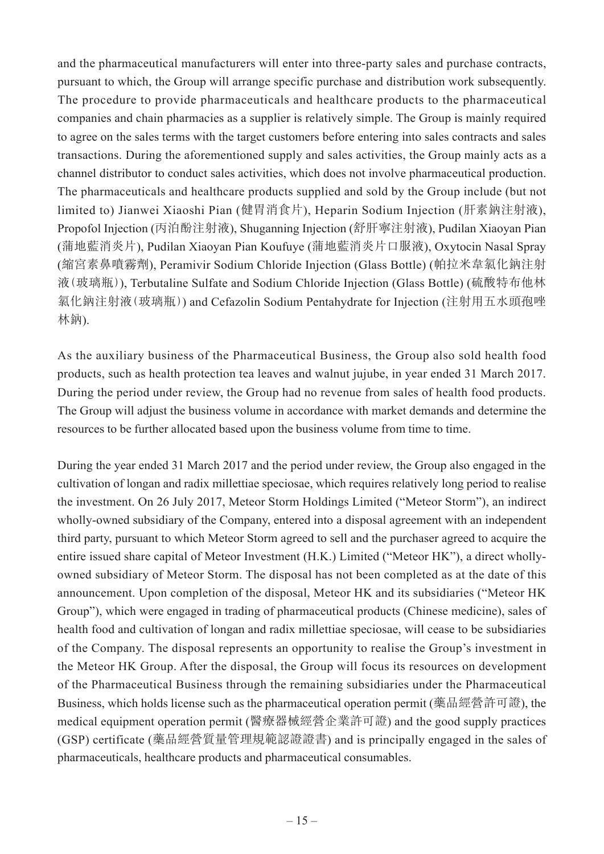and the pharmaceutical manufacturers will enter into three-party sales and purchase contracts, pursuant to which, the Group will arrange specific purchase and distribution work subsequently. The procedure to provide pharmaceuticals and healthcare products to the pharmaceutical companies and chain pharmacies as a supplier is relatively simple. The Group is mainly required to agree on the sales terms with the target customers before entering into sales contracts and sales transactions. During the aforementioned supply and sales activities, the Group mainly acts as a channel distributor to conduct sales activities, which does not involve pharmaceutical production. The pharmaceuticals and healthcare products supplied and sold by the Group include (but not limited to) Jianwei Xiaoshi Pian (健胃消食片), Heparin Sodium Injection (肝素鈉注射液), Propofol Injection (丙泊酚注射液), Shuganning Injection (舒肝寧注射液), Pudilan Xiaoyan Pian (蒲地藍消炎片), Pudilan Xiaoyan Pian Koufuye (蒲地藍消炎片口服液), Oxytocin Nasal Spray (縮宮素鼻噴霧劑), Peramivir Sodium Chloride Injection (Glass Bottle) (帕拉米韋氯化鈉注射 液(玻璃瓶)), Terbutaline Sulfate and Sodium Chloride Injection (Glass Bottle) (硫酸特布他林 氯化鈉注射液(玻璃瓶)) and Cefazolin Sodium Pentahydrate for Injection (注射用五水頭孢唑 林鈉).

As the auxiliary business of the Pharmaceutical Business, the Group also sold health food products, such as health protection tea leaves and walnut jujube, in year ended 31 March 2017. During the period under review, the Group had no revenue from sales of health food products. The Group will adjust the business volume in accordance with market demands and determine the resources to be further allocated based upon the business volume from time to time.

During the year ended 31 March 2017 and the period under review, the Group also engaged in the cultivation of longan and radix millettiae speciosae, which requires relatively long period to realise the investment. On 26 July 2017, Meteor Storm Holdings Limited ("Meteor Storm"), an indirect wholly-owned subsidiary of the Company, entered into a disposal agreement with an independent third party, pursuant to which Meteor Storm agreed to sell and the purchaser agreed to acquire the entire issued share capital of Meteor Investment (H.K.) Limited ("Meteor HK"), a direct whollyowned subsidiary of Meteor Storm. The disposal has not been completed as at the date of this announcement. Upon completion of the disposal, Meteor HK and its subsidiaries ("Meteor HK Group"), which were engaged in trading of pharmaceutical products (Chinese medicine), sales of health food and cultivation of longan and radix millettiae speciosae, will cease to be subsidiaries of the Company. The disposal represents an opportunity to realise the Group's investment in the Meteor HK Group. After the disposal, the Group will focus its resources on development of the Pharmaceutical Business through the remaining subsidiaries under the Pharmaceutical Business, which holds license such as the pharmaceutical operation permit (藥品經營許可證), the medical equipment operation permit (醫療器械經營企業許可證) and the good supply practices (GSP) certificate (藥品經營質量管理規範認證證書) and is principally engaged in the sales of pharmaceuticals, healthcare products and pharmaceutical consumables.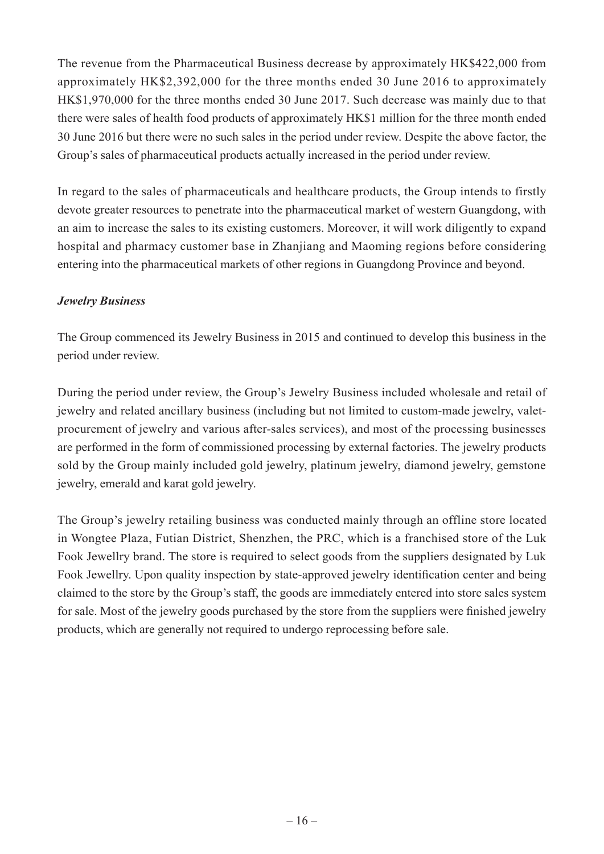The revenue from the Pharmaceutical Business decrease by approximately HK\$422,000 from approximately HK\$2,392,000 for the three months ended 30 June 2016 to approximately HK\$1,970,000 for the three months ended 30 June 2017. Such decrease was mainly due to that there were sales of health food products of approximately HK\$1 million for the three month ended 30 June 2016 but there were no such sales in the period under review. Despite the above factor, the Group's sales of pharmaceutical products actually increased in the period under review.

In regard to the sales of pharmaceuticals and healthcare products, the Group intends to firstly devote greater resources to penetrate into the pharmaceutical market of western Guangdong, with an aim to increase the sales to its existing customers. Moreover, it will work diligently to expand hospital and pharmacy customer base in Zhanjiang and Maoming regions before considering entering into the pharmaceutical markets of other regions in Guangdong Province and beyond.

### *Jewelry Business*

The Group commenced its Jewelry Business in 2015 and continued to develop this business in the period under review.

During the period under review, the Group's Jewelry Business included wholesale and retail of jewelry and related ancillary business (including but not limited to custom-made jewelry, valetprocurement of jewelry and various after-sales services), and most of the processing businesses are performed in the form of commissioned processing by external factories. The jewelry products sold by the Group mainly included gold jewelry, platinum jewelry, diamond jewelry, gemstone jewelry, emerald and karat gold jewelry.

The Group's jewelry retailing business was conducted mainly through an offline store located in Wongtee Plaza, Futian District, Shenzhen, the PRC, which is a franchised store of the Luk Fook Jewellry brand. The store is required to select goods from the suppliers designated by Luk Fook Jewellry. Upon quality inspection by state-approved jewelry identification center and being claimed to the store by the Group's staff, the goods are immediately entered into store sales system for sale. Most of the jewelry goods purchased by the store from the suppliers were finished jewelry products, which are generally not required to undergo reprocessing before sale.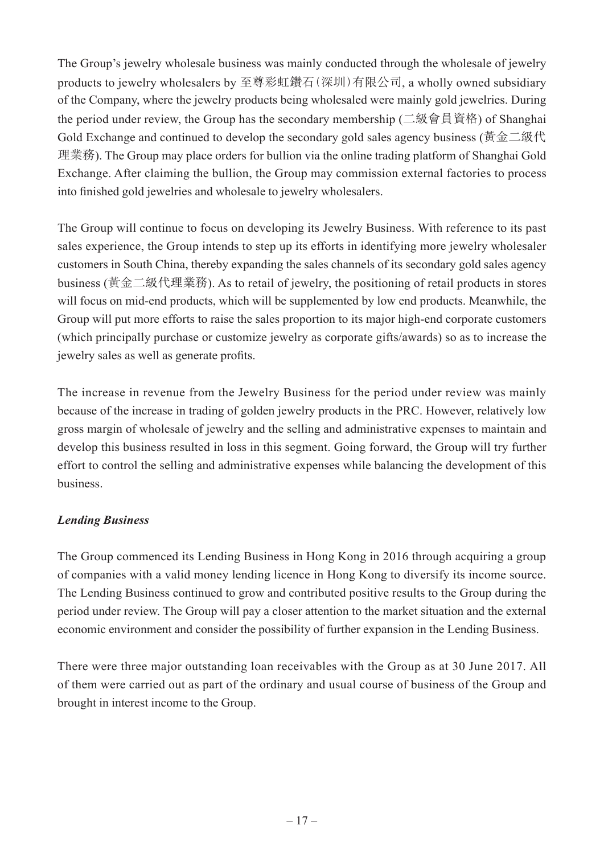The Group's jewelry wholesale business was mainly conducted through the wholesale of jewelry products to jewelry wholesalers by 至尊彩虹鑽石(深圳)有限公司, a wholly owned subsidiary of the Company, where the jewelry products being wholesaled were mainly gold jewelries. During the period under review, the Group has the secondary membership (二級會員資格) of Shanghai Gold Exchange and continued to develop the secondary gold sales agency business (黃金二級代 理業務). The Group may place orders for bullion via the online trading platform of Shanghai Gold Exchange. After claiming the bullion, the Group may commission external factories to process into finished gold jewelries and wholesale to jewelry wholesalers.

The Group will continue to focus on developing its Jewelry Business. With reference to its past sales experience, the Group intends to step up its efforts in identifying more jewelry wholesaler customers in South China, thereby expanding the sales channels of its secondary gold sales agency business (黃金二級代理業務). As to retail of jewelry, the positioning of retail products in stores will focus on mid-end products, which will be supplemented by low end products. Meanwhile, the Group will put more efforts to raise the sales proportion to its major high-end corporate customers (which principally purchase or customize jewelry as corporate gifts/awards) so as to increase the jewelry sales as well as generate profits.

The increase in revenue from the Jewelry Business for the period under review was mainly because of the increase in trading of golden jewelry products in the PRC. However, relatively low gross margin of wholesale of jewelry and the selling and administrative expenses to maintain and develop this business resulted in loss in this segment. Going forward, the Group will try further effort to control the selling and administrative expenses while balancing the development of this business.

### *Lending Business*

The Group commenced its Lending Business in Hong Kong in 2016 through acquiring a group of companies with a valid money lending licence in Hong Kong to diversify its income source. The Lending Business continued to grow and contributed positive results to the Group during the period under review. The Group will pay a closer attention to the market situation and the external economic environment and consider the possibility of further expansion in the Lending Business.

There were three major outstanding loan receivables with the Group as at 30 June 2017. All of them were carried out as part of the ordinary and usual course of business of the Group and brought in interest income to the Group.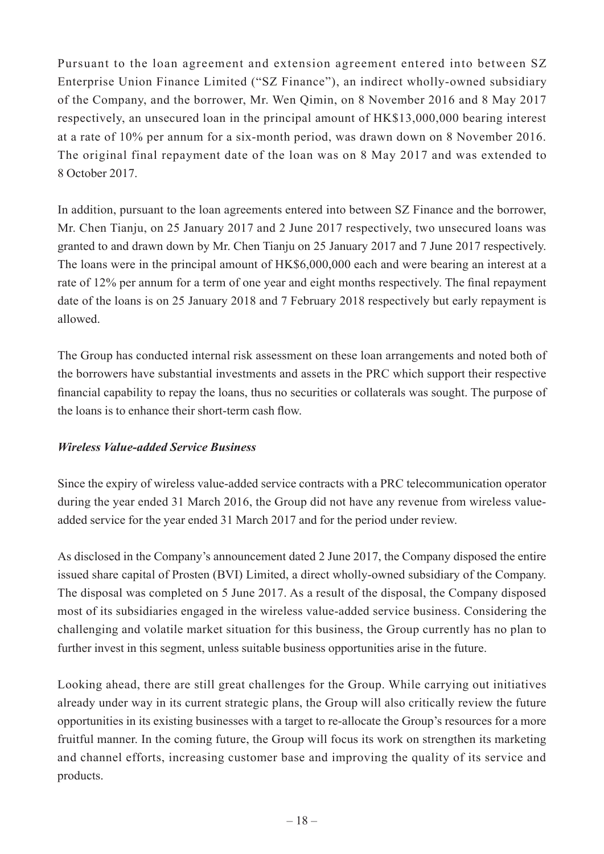Pursuant to the loan agreement and extension agreement entered into between SZ Enterprise Union Finance Limited ("SZ Finance"), an indirect wholly-owned subsidiary of the Company, and the borrower, Mr. Wen Qimin, on 8 November 2016 and 8 May 2017 respectively, an unsecured loan in the principal amount of HK\$13,000,000 bearing interest at a rate of 10% per annum for a six-month period, was drawn down on 8 November 2016. The original final repayment date of the loan was on 8 May 2017 and was extended to 8 October 2017.

In addition, pursuant to the loan agreements entered into between SZ Finance and the borrower, Mr. Chen Tianju, on 25 January 2017 and 2 June 2017 respectively, two unsecured loans was granted to and drawn down by Mr. Chen Tianju on 25 January 2017 and 7 June 2017 respectively. The loans were in the principal amount of HK\$6,000,000 each and were bearing an interest at a rate of 12% per annum for a term of one year and eight months respectively. The final repayment date of the loans is on 25 January 2018 and 7 February 2018 respectively but early repayment is allowed.

The Group has conducted internal risk assessment on these loan arrangements and noted both of the borrowers have substantial investments and assets in the PRC which support their respective financial capability to repay the loans, thus no securities or collaterals was sought. The purpose of the loans is to enhance their short-term cash flow.

### *Wireless Value-added Service Business*

Since the expiry of wireless value-added service contracts with a PRC telecommunication operator during the year ended 31 March 2016, the Group did not have any revenue from wireless valueadded service for the year ended 31 March 2017 and for the period under review.

As disclosed in the Company's announcement dated 2 June 2017, the Company disposed the entire issued share capital of Prosten (BVI) Limited, a direct wholly-owned subsidiary of the Company. The disposal was completed on 5 June 2017. As a result of the disposal, the Company disposed most of its subsidiaries engaged in the wireless value-added service business. Considering the challenging and volatile market situation for this business, the Group currently has no plan to further invest in this segment, unless suitable business opportunities arise in the future.

Looking ahead, there are still great challenges for the Group. While carrying out initiatives already under way in its current strategic plans, the Group will also critically review the future opportunities in its existing businesses with a target to re-allocate the Group's resources for a more fruitful manner. In the coming future, the Group will focus its work on strengthen its marketing and channel efforts, increasing customer base and improving the quality of its service and products.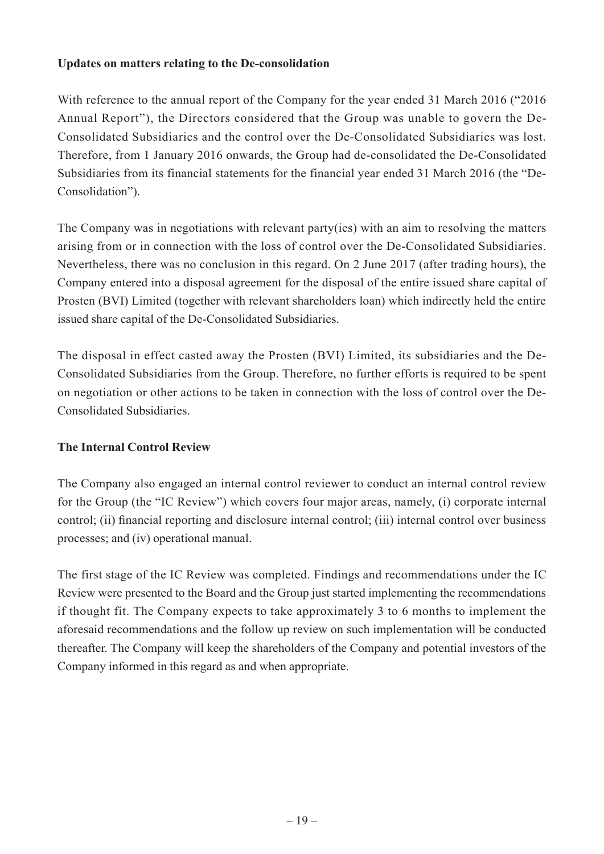### **Updates on matters relating to the De-consolidation**

With reference to the annual report of the Company for the year ended 31 March 2016 ("2016 Annual Report"), the Directors considered that the Group was unable to govern the De-Consolidated Subsidiaries and the control over the De-Consolidated Subsidiaries was lost. Therefore, from 1 January 2016 onwards, the Group had de-consolidated the De-Consolidated Subsidiaries from its financial statements for the financial year ended 31 March 2016 (the "De-Consolidation").

The Company was in negotiations with relevant party(ies) with an aim to resolving the matters arising from or in connection with the loss of control over the De-Consolidated Subsidiaries. Nevertheless, there was no conclusion in this regard. On 2 June 2017 (after trading hours), the Company entered into a disposal agreement for the disposal of the entire issued share capital of Prosten (BVI) Limited (together with relevant shareholders loan) which indirectly held the entire issued share capital of the De-Consolidated Subsidiaries.

The disposal in effect casted away the Prosten (BVI) Limited, its subsidiaries and the De-Consolidated Subsidiaries from the Group. Therefore, no further efforts is required to be spent on negotiation or other actions to be taken in connection with the loss of control over the De-Consolidated Subsidiaries.

### **The Internal Control Review**

The Company also engaged an internal control reviewer to conduct an internal control review for the Group (the "IC Review") which covers four major areas, namely, (i) corporate internal control; (ii) financial reporting and disclosure internal control; (iii) internal control over business processes; and (iv) operational manual.

The first stage of the IC Review was completed. Findings and recommendations under the IC Review were presented to the Board and the Group just started implementing the recommendations if thought fit. The Company expects to take approximately 3 to 6 months to implement the aforesaid recommendations and the follow up review on such implementation will be conducted thereafter. The Company will keep the shareholders of the Company and potential investors of the Company informed in this regard as and when appropriate.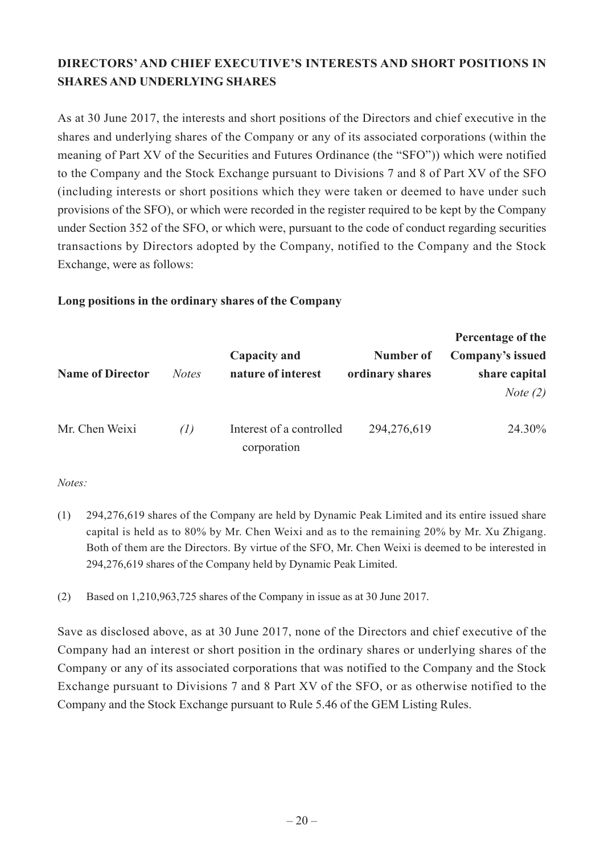# **DIRECTORS' AND CHIEF EXECUTIvE'S INTERESTS AND SHORT POSITIONS IN SHARES AND UNDERLyING SHARES**

As at 30 June 2017, the interests and short positions of the Directors and chief executive in the shares and underlying shares of the Company or any of its associated corporations (within the meaning of Part XV of the Securities and Futures Ordinance (the "SFO")) which were notified to the Company and the Stock Exchange pursuant to Divisions 7 and 8 of Part XV of the SFO (including interests or short positions which they were taken or deemed to have under such provisions of the SFO), or which were recorded in the register required to be kept by the Company under Section 352 of the SFO, or which were, pursuant to the code of conduct regarding securities transactions by Directors adopted by the Company, notified to the Company and the Stock Exchange, were as follows:

#### **Long positions in the ordinary shares of the Company**

|                         |              |                                         |                 | Percentage of the |
|-------------------------|--------------|-----------------------------------------|-----------------|-------------------|
|                         |              | Capacity and                            | Number of       | Company's issued  |
| <b>Name of Director</b> | <i>Notes</i> | nature of interest                      | ordinary shares | share capital     |
|                         |              |                                         |                 | <i>Note</i> $(2)$ |
| Mr. Chen Weixi          | (1)          | Interest of a controlled<br>corporation | 294,276,619     | 24.30%            |

*Notes:*

- (1) 294,276,619 shares of the Company are held by Dynamic Peak Limited and its entire issued share capital is held as to 80% by Mr. Chen Weixi and as to the remaining 20% by Mr. Xu Zhigang. Both of them are the Directors. By virtue of the SFO, Mr. Chen Weixi is deemed to be interested in 294,276,619 shares of the Company held by Dynamic Peak Limited.
- (2) Based on 1,210,963,725 shares of the Company in issue as at 30 June 2017.

Save as disclosed above, as at 30 June 2017, none of the Directors and chief executive of the Company had an interest or short position in the ordinary shares or underlying shares of the Company or any of its associated corporations that was notified to the Company and the Stock Exchange pursuant to Divisions 7 and 8 Part XV of the SFO, or as otherwise notified to the Company and the Stock Exchange pursuant to Rule 5.46 of the GEM Listing Rules.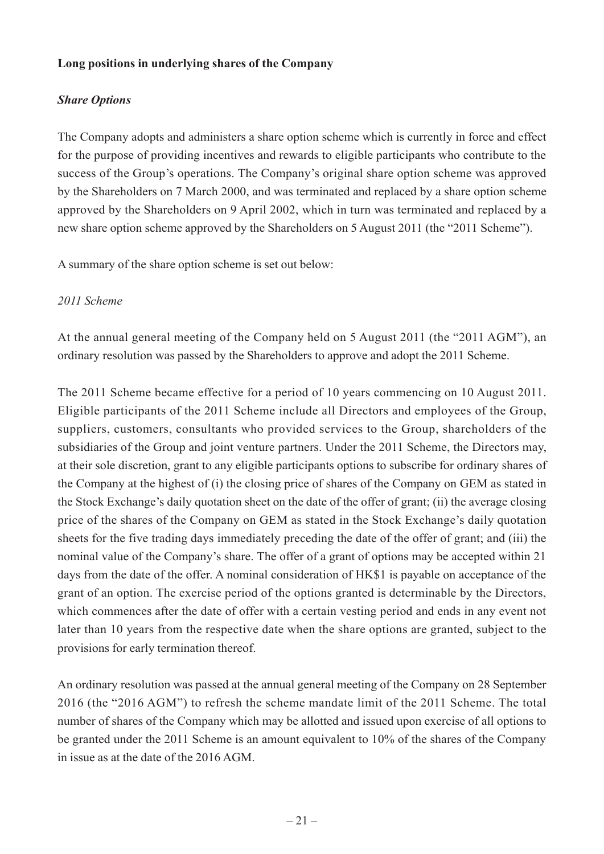#### **Long positions in underlying shares of the Company**

### *Share Options*

The Company adopts and administers a share option scheme which is currently in force and effect for the purpose of providing incentives and rewards to eligible participants who contribute to the success of the Group's operations. The Company's original share option scheme was approved by the Shareholders on 7 March 2000, and was terminated and replaced by a share option scheme approved by the Shareholders on 9 April 2002, which in turn was terminated and replaced by a new share option scheme approved by the Shareholders on 5 August 2011 (the "2011 Scheme").

A summary of the share option scheme is set out below:

#### *2011 Scheme*

At the annual general meeting of the Company held on 5 August 2011 (the "2011 AGM"), an ordinary resolution was passed by the Shareholders to approve and adopt the 2011 Scheme.

The 2011 Scheme became effective for a period of 10 years commencing on 10 August 2011. Eligible participants of the 2011 Scheme include all Directors and employees of the Group, suppliers, customers, consultants who provided services to the Group, shareholders of the subsidiaries of the Group and joint venture partners. Under the 2011 Scheme, the Directors may, at their sole discretion, grant to any eligible participants options to subscribe for ordinary shares of the Company at the highest of (i) the closing price of shares of the Company on GEM as stated in the Stock Exchange's daily quotation sheet on the date of the offer of grant; (ii) the average closing price of the shares of the Company on GEM as stated in the Stock Exchange's daily quotation sheets for the five trading days immediately preceding the date of the offer of grant; and (iii) the nominal value of the Company's share. The offer of a grant of options may be accepted within 21 days from the date of the offer. A nominal consideration of HK\$1 is payable on acceptance of the grant of an option. The exercise period of the options granted is determinable by the Directors, which commences after the date of offer with a certain vesting period and ends in any event not later than 10 years from the respective date when the share options are granted, subject to the provisions for early termination thereof.

An ordinary resolution was passed at the annual general meeting of the Company on 28 September 2016 (the "2016 AGM") to refresh the scheme mandate limit of the 2011 Scheme. The total number of shares of the Company which may be allotted and issued upon exercise of all options to be granted under the 2011 Scheme is an amount equivalent to 10% of the shares of the Company in issue as at the date of the 2016 AGM.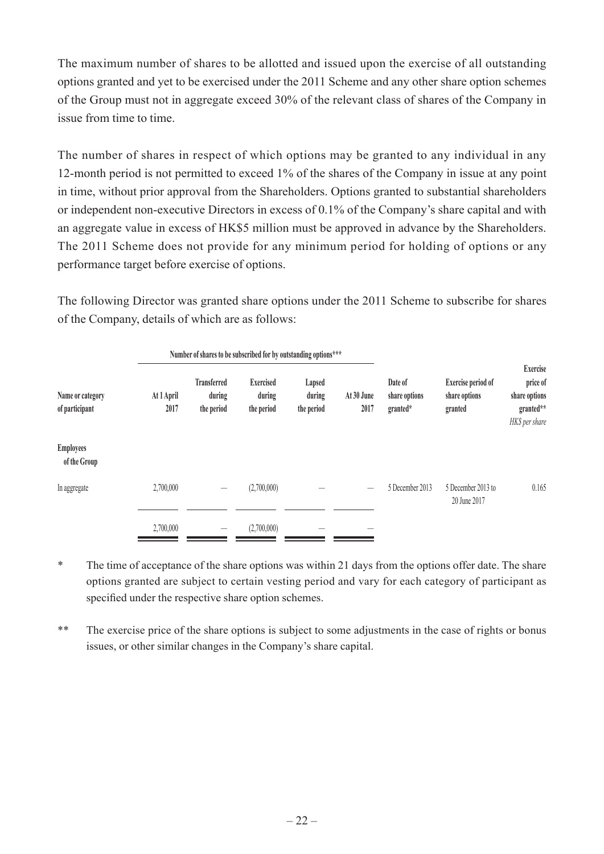The maximum number of shares to be allotted and issued upon the exercise of all outstanding options granted and yet to be exercised under the 2011 Scheme and any other share option schemes of the Group must not in aggregate exceed 30% of the relevant class of shares of the Company in issue from time to time.

The number of shares in respect of which options may be granted to any individual in any 12-month period is not permitted to exceed 1% of the shares of the Company in issue at any point in time, without prior approval from the Shareholders. Options granted to substantial shareholders or independent non-executive Directors in excess of 0.1% of the Company's share capital and with an aggregate value in excess of HK\$5 million must be approved in advance by the Shareholders. The 2011 Scheme does not provide for any minimum period for holding of options or any performance target before exercise of options.

The following Director was granted share options under the 2011 Scheme to subscribe for shares of the Company, details of which are as follows:

| Number of shares to be subscribed for by outstanding options*** |                    |                                            |                                          |                                |                    |                                      |                                                       |                                                                             |
|-----------------------------------------------------------------|--------------------|--------------------------------------------|------------------------------------------|--------------------------------|--------------------|--------------------------------------|-------------------------------------------------------|-----------------------------------------------------------------------------|
| Name or category<br>of participant                              | At 1 April<br>2017 | <b>Transferred</b><br>during<br>the period | <b>Exercised</b><br>during<br>the period | Lapsed<br>during<br>the period | At 30 June<br>2017 | Date of<br>share options<br>granted* | <b>Exercise period of</b><br>share options<br>granted | <b>Exercise</b><br>price of<br>share options<br>granted**<br>HK\$ per share |
| <b>Employees</b><br>of the Group                                |                    |                                            |                                          |                                |                    |                                      |                                                       |                                                                             |
| In aggregate                                                    | 2,700,000          |                                            | (2,700,000)                              |                                |                    | 5 December 2013                      | 5 December 2013 to<br>20 June 2017                    | 0.165                                                                       |
|                                                                 | 2,700,000          |                                            | (2,700,000)                              |                                |                    |                                      |                                                       |                                                                             |

- \* The time of acceptance of the share options was within 21 days from the options offer date. The share options granted are subject to certain vesting period and vary for each category of participant as specified under the respective share option schemes.
- \*\* The exercise price of the share options is subject to some adjustments in the case of rights or bonus issues, or other similar changes in the Company's share capital.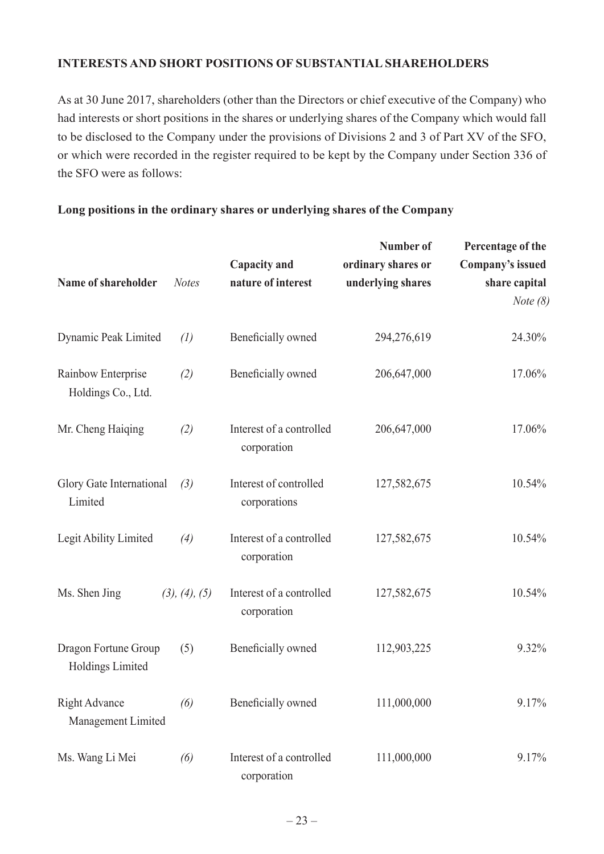#### **INTERESTS AND SHORT POSITIONS OF SUBSTANTIAL SHAREHOLDERS**

As at 30 June 2017, shareholders (other than the Directors or chief executive of the Company) who had interests or short positions in the shares or underlying shares of the Company which would fall to be disclosed to the Company under the provisions of Divisions 2 and 3 of Part XV of the SFO, or which were recorded in the register required to be kept by the Company under Section 336 of the SFO were as follows:

| Name of shareholder                             | <b>Notes</b>  | <b>Capacity and</b><br>nature of interest | Number of<br>ordinary shares or<br>underlying shares | Percentage of the<br>Company's issued<br>share capital<br>Note $(8)$ |
|-------------------------------------------------|---------------|-------------------------------------------|------------------------------------------------------|----------------------------------------------------------------------|
| Dynamic Peak Limited                            | (1)           | Beneficially owned                        | 294,276,619                                          | 24.30%                                                               |
| Rainbow Enterprise<br>Holdings Co., Ltd.        | (2)           | Beneficially owned                        | 206,647,000                                          | 17.06%                                                               |
| Mr. Cheng Haiqing                               | (2)           | Interest of a controlled<br>corporation   | 206,647,000                                          | 17.06%                                                               |
| Glory Gate International<br>Limited             | (3)           | Interest of controlled<br>corporations    | 127,582,675                                          | 10.54%                                                               |
| Legit Ability Limited                           | (4)           | Interest of a controlled<br>corporation   | 127,582,675                                          | 10.54%                                                               |
| Ms. Shen Jing                                   | (3), (4), (5) | Interest of a controlled<br>corporation   | 127,582,675                                          | 10.54%                                                               |
| Dragon Fortune Group<br><b>Holdings Limited</b> | (5)           | Beneficially owned                        | 112,903,225                                          | 9.32%                                                                |
| <b>Right Advance</b><br>Management Limited      | (6)           | Beneficially owned                        | 111,000,000                                          | 9.17%                                                                |
| Ms. Wang Li Mei                                 | (6)           | Interest of a controlled<br>corporation   | 111,000,000                                          | 9.17%                                                                |

#### **Long positions in the ordinary shares or underlying shares of the Company**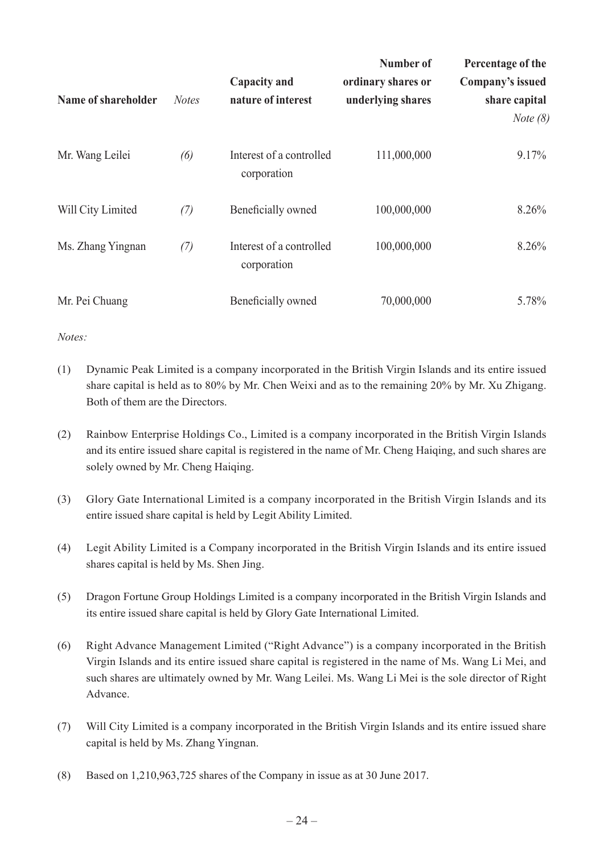| Name of shareholder | <b>Notes</b> | Capacity and<br>nature of interest      | Number of<br>ordinary shares or<br>underlying shares | Percentage of the<br>Company's issued<br>share capital<br><i>Note</i> $(8)$ |
|---------------------|--------------|-----------------------------------------|------------------------------------------------------|-----------------------------------------------------------------------------|
| Mr. Wang Leilei     | (6)          | Interest of a controlled<br>corporation | 111,000,000                                          | 9.17%                                                                       |
| Will City Limited   | (7)          | Beneficially owned                      | 100,000,000                                          | 8.26%                                                                       |
| Ms. Zhang Yingnan   | (7)          | Interest of a controlled<br>corporation | 100,000,000                                          | 8.26%                                                                       |
| Mr. Pei Chuang      |              | Beneficially owned                      | 70,000,000                                           | 5.78%                                                                       |

*Notes:*

- (1) Dynamic Peak Limited is a company incorporated in the British Virgin Islands and its entire issued share capital is held as to 80% by Mr. Chen Weixi and as to the remaining 20% by Mr. Xu Zhigang. Both of them are the Directors.
- (2) Rainbow Enterprise Holdings Co., Limited is a company incorporated in the British Virgin Islands and its entire issued share capital is registered in the name of Mr. Cheng Haiqing, and such shares are solely owned by Mr. Cheng Haiqing.
- (3) Glory Gate International Limited is a company incorporated in the British Virgin Islands and its entire issued share capital is held by Legit Ability Limited.
- (4) Legit Ability Limited is a Company incorporated in the British Virgin Islands and its entire issued shares capital is held by Ms. Shen Jing.
- (5) Dragon Fortune Group Holdings Limited is a company incorporated in the British Virgin Islands and its entire issued share capital is held by Glory Gate International Limited.
- (6) Right Advance Management Limited ("Right Advance") is a company incorporated in the British Virgin Islands and its entire issued share capital is registered in the name of Ms. Wang Li Mei, and such shares are ultimately owned by Mr. Wang Leilei. Ms. Wang Li Mei is the sole director of Right Advance.
- (7) Will City Limited is a company incorporated in the British Virgin Islands and its entire issued share capital is held by Ms. Zhang Yingnan.
- (8) Based on 1,210,963,725 shares of the Company in issue as at 30 June 2017.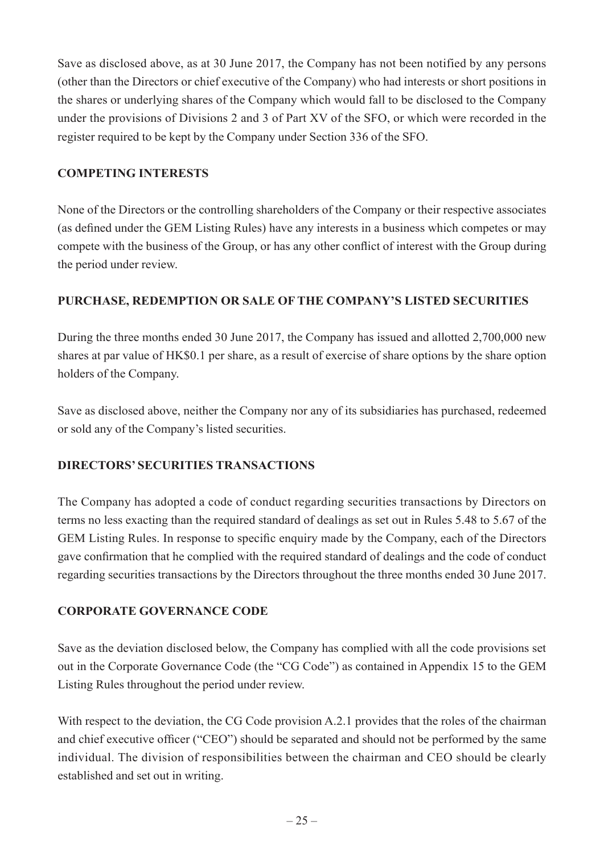Save as disclosed above, as at 30 June 2017, the Company has not been notified by any persons (other than the Directors or chief executive of the Company) who had interests or short positions in the shares or underlying shares of the Company which would fall to be disclosed to the Company under the provisions of Divisions 2 and 3 of Part XV of the SFO, or which were recorded in the register required to be kept by the Company under Section 336 of the SFO.

### **COMPETING INTERESTS**

None of the Directors or the controlling shareholders of the Company or their respective associates (as defined under the GEM Listing Rules) have any interests in a business which competes or may compete with the business of the Group, or has any other conflict of interest with the Group during the period under review.

#### **PURCHASE, REDEMPTION OR SALE OF THE COMPANy'S LISTED SECURITIES**

During the three months ended 30 June 2017, the Company has issued and allotted 2,700,000 new shares at par value of HK\$0.1 per share, as a result of exercise of share options by the share option holders of the Company.

Save as disclosed above, neither the Company nor any of its subsidiaries has purchased, redeemed or sold any of the Company's listed securities.

### **DIRECTORS' SECURITIES TRANSACTIONS**

The Company has adopted a code of conduct regarding securities transactions by Directors on terms no less exacting than the required standard of dealings as set out in Rules 5.48 to 5.67 of the GEM Listing Rules. In response to specific enquiry made by the Company, each of the Directors gave confirmation that he complied with the required standard of dealings and the code of conduct regarding securities transactions by the Directors throughout the three months ended 30 June 2017.

### **CORPORATE GOvERNANCE CODE**

Save as the deviation disclosed below, the Company has complied with all the code provisions set out in the Corporate Governance Code (the "CG Code") as contained in Appendix 15 to the GEM Listing Rules throughout the period under review.

With respect to the deviation, the CG Code provision A.2.1 provides that the roles of the chairman and chief executive officer ("CEO") should be separated and should not be performed by the same individual. The division of responsibilities between the chairman and CEO should be clearly established and set out in writing.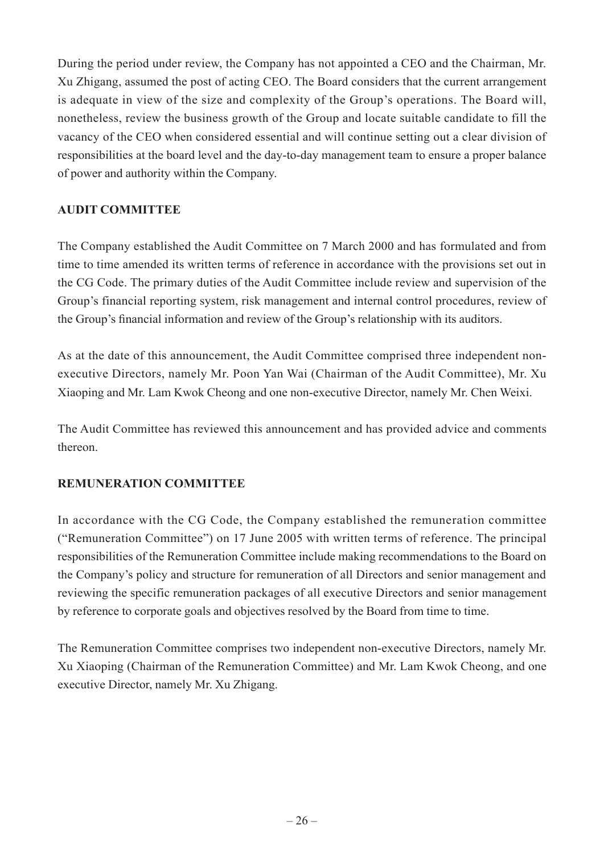During the period under review, the Company has not appointed a CEO and the Chairman, Mr. Xu Zhigang, assumed the post of acting CEO. The Board considers that the current arrangement is adequate in view of the size and complexity of the Group's operations. The Board will, nonetheless, review the business growth of the Group and locate suitable candidate to fill the vacancy of the CEO when considered essential and will continue setting out a clear division of responsibilities at the board level and the day-to-day management team to ensure a proper balance of power and authority within the Company.

### **AUDIT COMMITTEE**

The Company established the Audit Committee on 7 March 2000 and has formulated and from time to time amended its written terms of reference in accordance with the provisions set out in the CG Code. The primary duties of the Audit Committee include review and supervision of the Group's financial reporting system, risk management and internal control procedures, review of the Group's financial information and review of the Group's relationship with its auditors.

As at the date of this announcement, the Audit Committee comprised three independent nonexecutive Directors, namely Mr. Poon Yan Wai (Chairman of the Audit Committee), Mr. Xu Xiaoping and Mr. Lam Kwok Cheong and one non-executive Director, namely Mr. Chen Weixi.

The Audit Committee has reviewed this announcement and has provided advice and comments thereon.

### **REMUNERATION COMMITTEE**

In accordance with the CG Code, the Company established the remuneration committee ("Remuneration Committee") on 17 June 2005 with written terms of reference. The principal responsibilities of the Remuneration Committee include making recommendations to the Board on the Company's policy and structure for remuneration of all Directors and senior management and reviewing the specific remuneration packages of all executive Directors and senior management by reference to corporate goals and objectives resolved by the Board from time to time.

The Remuneration Committee comprises two independent non-executive Directors, namely Mr. Xu Xiaoping (Chairman of the Remuneration Committee) and Mr. Lam Kwok Cheong, and one executive Director, namely Mr. Xu Zhigang.